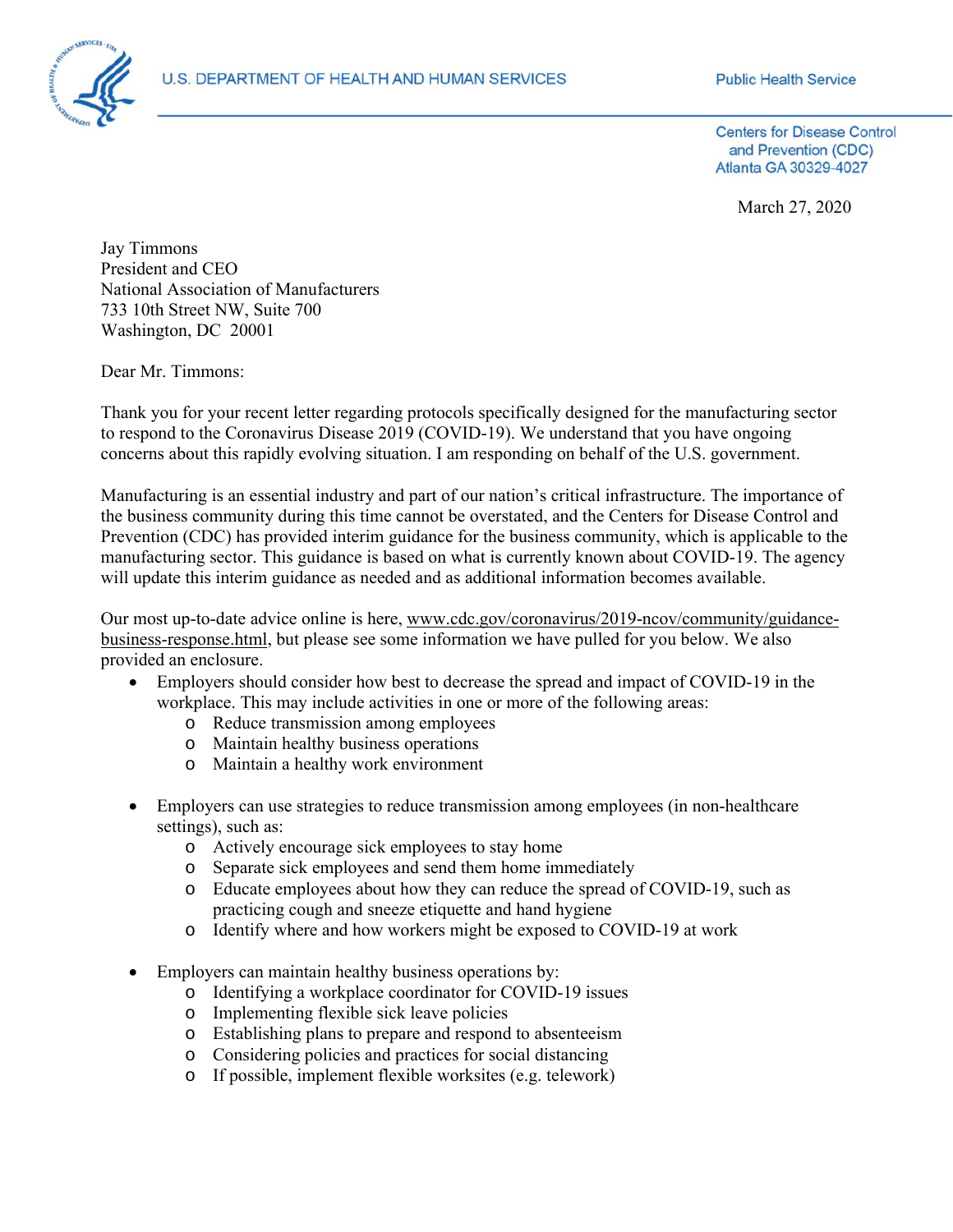

**Public Health Service** 

**Centers for Disease Control** and Prevention (CDC) Atlanta GA 30329-4027

March 27, 2020

Jay Timmons President and CEO National Association of Manufacturers 733 10th Street NW, Suite 700 Washington, DC 20001

Dear Mr. Timmons:

Thank you for your recent letter regarding protocols specifically designed for the manufacturing sector to respond to the Coronavirus Disease 2019 (COVID-19). We understand that you have ongoing concerns about this rapidly evolving situation. I am responding on behalf of the U.S. government.

Manufacturing is an essential industry and part of our nation's critical infrastructure. The importance of the business community during this time cannot be overstated, and the Centers for Disease Control and Prevention (CDC) has provided interim guidance for the business community, which is applicable to the manufacturing sector. This guidance is based on what is currently known about COVID-19. The agency will update this interim guidance as needed and as additional information becomes available.

Our most up-to-date advice online is here, www.cdc.gov/coronavirus/2019-ncov/community/guidancebusiness-response.html, but please see some information we have pulled for you below. We also provided an enclosure.

- Employers should consider how best to decrease the spread and impact of COVID-19 in the workplace. This may include activities in one or more of the following areas:
	- o Reduce transmission among employees
	- o Maintain healthy business operations
	- o Maintain a healthy work environment
- Employers can use strategies to reduce transmission among employees (in non-healthcare settings), such as:
	- o Actively encourage sick employees to stay home
	- o Separate sick employees and send them home immediately
	- o Educate employees about how they can reduce the spread of COVID-19, such as practicing cough and sneeze etiquette and hand hygiene
	- o Identify where and how workers might be exposed to COVID-19 at work
- Employers can maintain healthy business operations by:
	- o Identifying a workplace coordinator for COVID-19 issues
	- o Implementing flexible sick leave policies
	- o Establishing plans to prepare and respond to absenteeism
	- o Considering policies and practices for social distancing
	- o If possible, implement flexible worksites (e.g. telework)